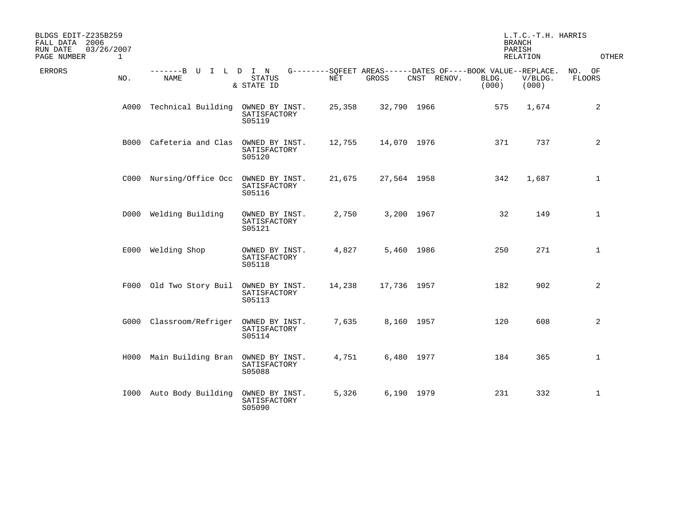| BLDGS EDIT-Z235B259<br>FALL DATA 2006<br>RUN DATE<br>03/26/2007<br>PAGE NUMBER<br>$\mathbf 1$ |                                     |                                          |        |             |             | <b>BRANCH</b><br>PARISH                                                       | L.T.C.-T.H. HARRIS<br>RELATION | OTHER            |
|-----------------------------------------------------------------------------------------------|-------------------------------------|------------------------------------------|--------|-------------|-------------|-------------------------------------------------------------------------------|--------------------------------|------------------|
| <b>ERRORS</b><br>NO.                                                                          | -------B U I L D I N<br><b>NAME</b> | STATUS<br>& STATE ID                     | NET    | GROSS       | CNST RENOV. | G--------SQFEET AREAS------DATES OF----BOOK VALUE--REPLACE.<br>BLDG.<br>(000) | V/BLDG.<br>(000)               | NO. OF<br>FLOORS |
|                                                                                               | A000 Technical Building             | OWNED BY INST.<br>SATISFACTORY<br>S05119 | 25,358 | 32,790 1966 |             | 575                                                                           | 1,674                          | 2                |
|                                                                                               | B000 Cafeteria and Clas             | OWNED BY INST.<br>SATISFACTORY<br>S05120 | 12,755 | 14,070 1976 |             | 371                                                                           | 737                            | 2                |
|                                                                                               | C000 Nursing/Office Occ             | OWNED BY INST.<br>SATISFACTORY<br>S05116 | 21,675 | 27,564 1958 |             | 342                                                                           | 1,687                          | $\mathbf{1}$     |
|                                                                                               | D000 Welding Building               | OWNED BY INST.<br>SATISFACTORY<br>S05121 | 2,750  | 3,200 1967  |             | 32                                                                            | 149                            | $\mathbf{1}$     |
|                                                                                               | E000 Welding Shop                   | OWNED BY INST.<br>SATISFACTORY<br>S05118 | 4,827  | 5,460 1986  |             | 250                                                                           | 271                            | $\mathbf{1}$     |
|                                                                                               | F000 Old Two Story Buil             | OWNED BY INST.<br>SATISFACTORY<br>S05113 | 14,238 | 17,736 1957 |             | 182                                                                           | 902                            | 2                |
|                                                                                               | G000 Classroom/Refriger             | OWNED BY INST.<br>SATISFACTORY<br>S05114 | 7,635  | 8,160 1957  |             | 120                                                                           | 608                            | 2                |
|                                                                                               | H000 Main Building Bran             | OWNED BY INST.<br>SATISFACTORY<br>S05088 | 4,751  | 6,480 1977  |             | 184                                                                           | 365                            | $\mathbf{1}$     |
|                                                                                               | 1000 Auto Body Building             | OWNED BY INST.<br>SATISFACTORY<br>S05090 | 5,326  | 6,190 1979  |             | 231                                                                           | 332                            | $\mathbf{1}$     |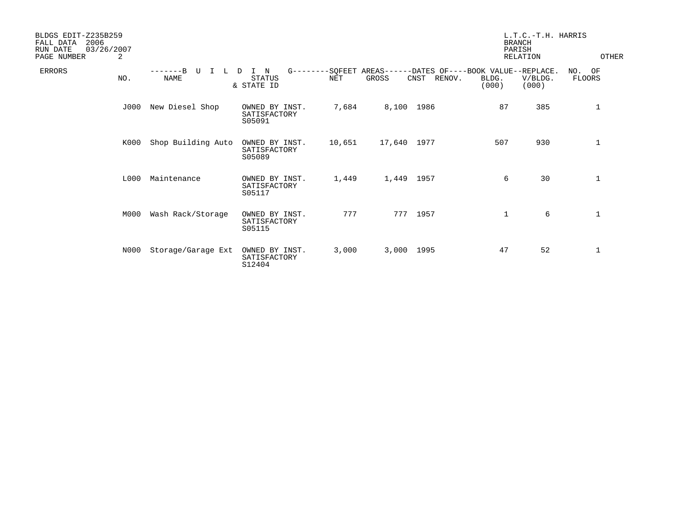| BLDGS EDIT-Z235B259<br>2006<br>FALL DATA<br>03/26/2007<br>RUN DATE<br>PAGE NUMBER<br>2 |                             |                                          |        |             |                | <b>BRANCH</b><br>PARISH                                                       | L.T.C.-T.H. HARRIS<br>RELATION | <b>OTHER</b>     |
|----------------------------------------------------------------------------------------|-----------------------------|------------------------------------------|--------|-------------|----------------|-------------------------------------------------------------------------------|--------------------------------|------------------|
| <b>ERRORS</b><br>NO.                                                                   | $---B$<br>TT<br><b>NAME</b> | N<br>D<br><b>STATUS</b><br>& STATE ID    | NET    | GROSS       | RENOV.<br>CNST | G--------SQFEET AREAS------DATES OF----BOOK VALUE--REPLACE.<br>BLDG.<br>(000) | V/BLDG.<br>(000)               | NO. OF<br>FLOORS |
| J000                                                                                   | New Diesel Shop             | OWNED BY INST.<br>SATISFACTORY<br>S05091 | 7,684  | 8,100 1986  |                | 87                                                                            | 385                            | $\mathbf{1}$     |
| K000                                                                                   | Shop Building Auto          | OWNED BY INST.<br>SATISFACTORY<br>S05089 | 10,651 | 17,640 1977 |                | 507                                                                           | 930                            | $\mathbf{1}$     |
| L000                                                                                   | Maintenance                 | OWNED BY INST.<br>SATISFACTORY<br>S05117 | 1,449  | 1,449 1957  |                | 6                                                                             | 30                             | $\mathbf{1}$     |
| M000                                                                                   | Wash Rack/Storage           | OWNED BY INST.<br>SATISFACTORY<br>S05115 | 777    | 777         | 1957           | 1                                                                             | 6                              | $\mathbf{1}$     |
| N000                                                                                   | Storage/Garage Ext          | OWNED BY INST.<br>SATISFACTORY<br>S12404 | 3,000  | 3,000 1995  |                | 47                                                                            | 52                             | 1                |